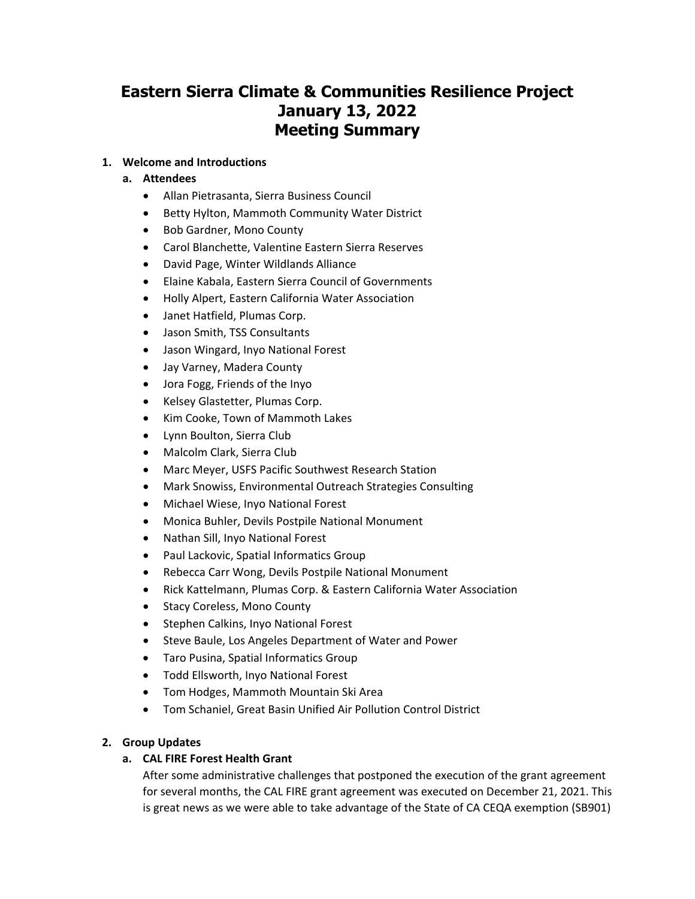# **Eastern Sierra Climate & Communities Resilience Project January 13, 2022 Meeting Summary**

## **1. Welcome and Introductions**

# **a. Attendees**

- Allan Pietrasanta, Sierra Business Council
- Betty Hylton, Mammoth Community Water District
- Bob Gardner, Mono County
- Carol Blanchette, Valentine Eastern Sierra Reserves
- David Page, Winter Wildlands Alliance
- Elaine Kabala, Eastern Sierra Council of Governments
- Holly Alpert, Eastern California Water Association
- Janet Hatfield, Plumas Corp.
- Jason Smith, TSS Consultants
- Jason Wingard, Inyo National Forest
- Jay Varney, Madera County
- Jora Fogg, Friends of the Inyo
- Kelsey Glastetter, Plumas Corp.
- Kim Cooke, Town of Mammoth Lakes
- Lynn Boulton, Sierra Club
- Malcolm Clark, Sierra Club
- Marc Meyer, USFS Pacific Southwest Research Station
- Mark Snowiss, Environmental Outreach Strategies Consulting
- Michael Wiese, Inyo National Forest
- Monica Buhler, Devils Postpile National Monument
- Nathan Sill, Inyo National Forest
- Paul Lackovic, Spatial Informatics Group
- Rebecca Carr Wong, Devils Postpile National Monument
- Rick Kattelmann, Plumas Corp. & Eastern California Water Association
- Stacy Coreless, Mono County
- Stephen Calkins, Inyo National Forest
- Steve Baule, Los Angeles Department of Water and Power
- Taro Pusina, Spatial Informatics Group
- Todd Ellsworth, Inyo National Forest
- Tom Hodges, Mammoth Mountain Ski Area
- Tom Schaniel, Great Basin Unified Air Pollution Control District

# **2. Group Updates**

# **a. CAL FIRE Forest Health Grant**

After some administrative challenges that postponed the execution of the grant agreement for several months, the CAL FIRE grant agreement was executed on December 21, 2021. This is great news as we were able to take advantage of the State of CA CEQA exemption (SB901)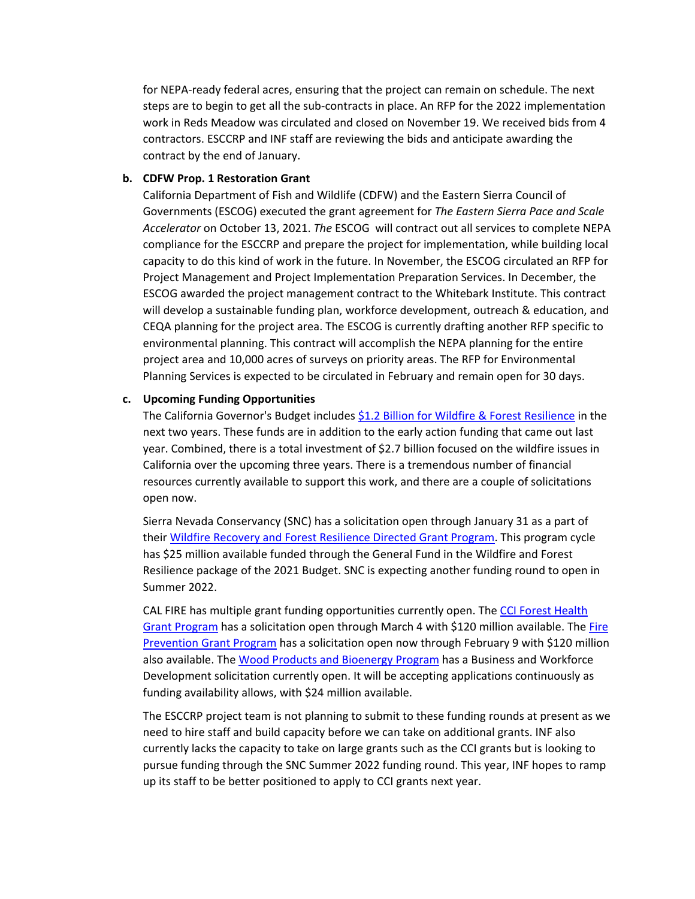for NEPA-ready federal acres, ensuring that the project can remain on schedule. The next steps are to begin to get all the sub-contracts in place. An RFP for the 2022 implementation work in Reds Meadow was circulated and closed on November 19. We received bids from 4 contractors. ESCCRP and INF staff are reviewing the bids and anticipate awarding the contract by the end of January.

#### **b. CDFW Prop. 1 Restoration Grant**

California Department of Fish and Wildlife (CDFW) and the Eastern Sierra Council of Governments (ESCOG) executed the grant agreement for *The Eastern Sierra Pace and Scale Accelerator* on October 13, 2021. *The* ESCOG will contract out all services to complete NEPA compliance for the ESCCRP and prepare the project for implementation, while building local capacity to do this kind of work in the future. In November, the ESCOG circulated an RFP for Project Management and Project Implementation Preparation Services. In December, the ESCOG awarded the project management contract to the Whitebark Institute. This contract will develop a sustainable funding plan, workforce development, outreach & education, and CEQA planning for the project area. The ESCOG is currently drafting another RFP specific to environmental planning. This contract will accomplish the NEPA planning for the entire project area and 10,000 acres of surveys on priority areas. The RFP for Environmental Planning Services is expected to be circulated in February and remain open for 30 days.

#### **c. Upcoming Funding Opportunities**

The California Governor's Budget include[s \\$1.2 Billion for Wildfire & Forest Resilience](https://53aa1cbb-37f9-440e-b0cb-a531fe237c72.usrfiles.com/ugd/53aa1c_86e271b548274dc8a747023238e9643b.pdf) in the next two years. These funds are in addition to the early action funding that came out last year. Combined, there is a total investment of \$2.7 billion focused on the wildfire issues in California over the upcoming three years. There is a tremendous number of financial resources currently available to support this work, and there are a couple of solicitations open now.

Sierra Nevada Conservancy (SNC) has a solicitation open through January 31 as a part of their [Wildfire Recovery and Forest Resilience](https://sierranevada.ca.gov/funding/snc-grants/) Directed Grant Program. This program cycle has \$25 million available funded through the General Fund in the Wildfire and Forest Resilience package of the 2021 Budget. SNC is expecting another funding round to open in Summer 2022.

CAL FIRE has multiple grant funding opportunities currently open. The CCI Forest Health [Grant Program](https://www.fire.ca.gov/grants/forest-health-grants/) has a solicitation open through March 4 with \$120 million available. The [Fire](https://www.fire.ca.gov/grants/fire-prevention-grants/)  [Prevention Grant Program](https://www.fire.ca.gov/grants/fire-prevention-grants/) has a solicitation open now through February 9 with \$120 million also available. The [Wood Products and Bioenergy Program](https://www.fire.ca.gov/programs/resource-management/climate-change-and-energy/wood-products-and-bioenergy-program/) has a Business and Workforce Development solicitation currently open. It will be accepting applications continuously as funding availability allows, with \$24 million available.

The ESCCRP project team is not planning to submit to these funding rounds at present as we need to hire staff and build capacity before we can take on additional grants. INF also currently lacks the capacity to take on large grants such as the CCI grants but is looking to pursue funding through the SNC Summer 2022 funding round. This year, INF hopes to ramp up its staff to be better positioned to apply to CCI grants next year.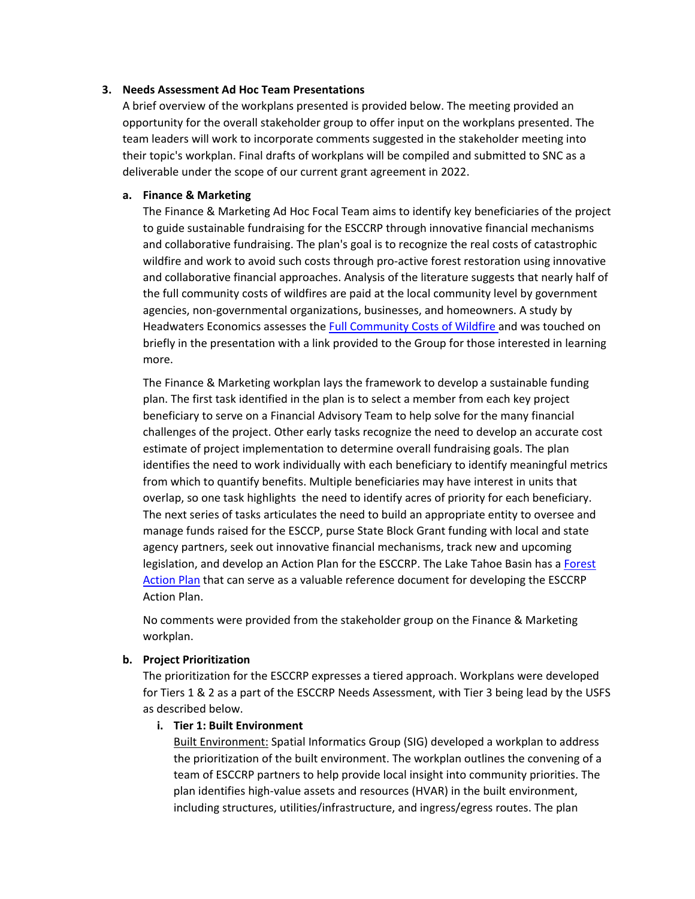#### **3. Needs Assessment Ad Hoc Team Presentations**

A brief overview of the workplans presented is provided below. The meeting provided an opportunity for the overall stakeholder group to offer input on the workplans presented. The team leaders will work to incorporate comments suggested in the stakeholder meeting into their topic's workplan. Final drafts of workplans will be compiled and submitted to SNC as a deliverable under the scope of our current grant agreement in 2022.

### **a. Finance & Marketing**

The Finance & Marketing Ad Hoc Focal Team aims to identify key beneficiaries of the project to guide sustainable fundraising for the ESCCRP through innovative financial mechanisms and collaborative fundraising. The plan's goal is to recognize the real costs of catastrophic wildfire and work to avoid such costs through pro-active forest restoration using innovative and collaborative financial approaches. Analysis of the literature suggests that nearly half of the full community costs of wildfires are paid at the local community level by government agencies, non-governmental organizations, businesses, and homeowners. A study by Headwaters Economics assesses the [Full Community Costs of Wildfire](https://headwaterseconomics.org/wildfire/homes-risk/full-community-costs-of-wildfire/) and was touched on briefly in the presentation with a link provided to the Group for those interested in learning more.

The Finance & Marketing workplan lays the framework to develop a sustainable funding plan. The first task identified in the plan is to select a member from each key project beneficiary to serve on a Financial Advisory Team to help solve for the many financial challenges of the project. Other early tasks recognize the need to develop an accurate cost estimate of project implementation to determine overall fundraising goals. The plan identifies the need to work individually with each beneficiary to identify meaningful metrics from which to quantify benefits. Multiple beneficiaries may have interest in units that overlap, so one task highlights the need to identify acres of priority for each beneficiary. The next series of tasks articulates the need to build an appropriate entity to oversee and manage funds raised for the ESCCP, purse State Block Grant funding with local and state agency partners, seek out innovative financial mechanisms, track new and upcoming legislation, and develop an Action Plan for the ESCCRP. The Lake Tahoe Basin has a [Forest](https://www.tahoelivingwithfire.com/wp-content/uploads/2018/11/TFFT-Lake-Tahoe-Basin-Forest-Action-Plan-2019.pdf)  [Action Plan](https://www.tahoelivingwithfire.com/wp-content/uploads/2018/11/TFFT-Lake-Tahoe-Basin-Forest-Action-Plan-2019.pdf) that can serve as a valuable reference document for developing the ESCCRP Action Plan.

No comments were provided from the stakeholder group on the Finance & Marketing workplan.

#### **b. Project Prioritization**

The prioritization for the ESCCRP expresses a tiered approach. Workplans were developed for Tiers 1 & 2 as a part of the ESCCRP Needs Assessment, with Tier 3 being lead by the USFS as described below.

#### **i. Tier 1: Built Environment**

Built Environment: Spatial Informatics Group (SIG) developed a workplan to address the prioritization of the built environment. The workplan outlines the convening of a team of ESCCRP partners to help provide local insight into community priorities. The plan identifies high-value assets and resources (HVAR) in the built environment, including structures, utilities/infrastructure, and ingress/egress routes. The plan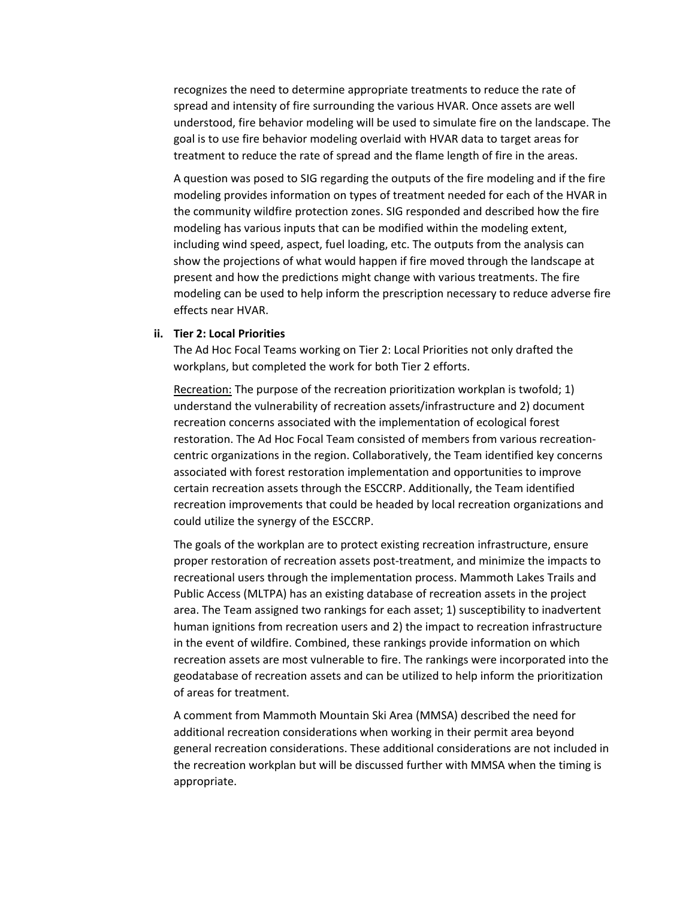recognizes the need to determine appropriate treatments to reduce the rate of spread and intensity of fire surrounding the various HVAR. Once assets are well understood, fire behavior modeling will be used to simulate fire on the landscape. The goal is to use fire behavior modeling overlaid with HVAR data to target areas for treatment to reduce the rate of spread and the flame length of fire in the areas.

A question was posed to SIG regarding the outputs of the fire modeling and if the fire modeling provides information on types of treatment needed for each of the HVAR in the community wildfire protection zones. SIG responded and described how the fire modeling has various inputs that can be modified within the modeling extent, including wind speed, aspect, fuel loading, etc. The outputs from the analysis can show the projections of what would happen if fire moved through the landscape at present and how the predictions might change with various treatments. The fire modeling can be used to help inform the prescription necessary to reduce adverse fire effects near HVAR.

#### **ii. Tier 2: Local Priorities**

The Ad Hoc Focal Teams working on Tier 2: Local Priorities not only drafted the workplans, but completed the work for both Tier 2 efforts.

Recreation: The purpose of the recreation prioritization workplan is twofold; 1) understand the vulnerability of recreation assets/infrastructure and 2) document recreation concerns associated with the implementation of ecological forest restoration. The Ad Hoc Focal Team consisted of members from various recreationcentric organizations in the region. Collaboratively, the Team identified key concerns associated with forest restoration implementation and opportunities to improve certain recreation assets through the ESCCRP. Additionally, the Team identified recreation improvements that could be headed by local recreation organizations and could utilize the synergy of the ESCCRP.

The goals of the workplan are to protect existing recreation infrastructure, ensure proper restoration of recreation assets post-treatment, and minimize the impacts to recreational users through the implementation process. Mammoth Lakes Trails and Public Access (MLTPA) has an existing database of recreation assets in the project area. The Team assigned two rankings for each asset; 1) susceptibility to inadvertent human ignitions from recreation users and 2) the impact to recreation infrastructure in the event of wildfire. Combined, these rankings provide information on which recreation assets are most vulnerable to fire. The rankings were incorporated into the geodatabase of recreation assets and can be utilized to help inform the prioritization of areas for treatment.

A comment from Mammoth Mountain Ski Area (MMSA) described the need for additional recreation considerations when working in their permit area beyond general recreation considerations. These additional considerations are not included in the recreation workplan but will be discussed further with MMSA when the timing is appropriate.